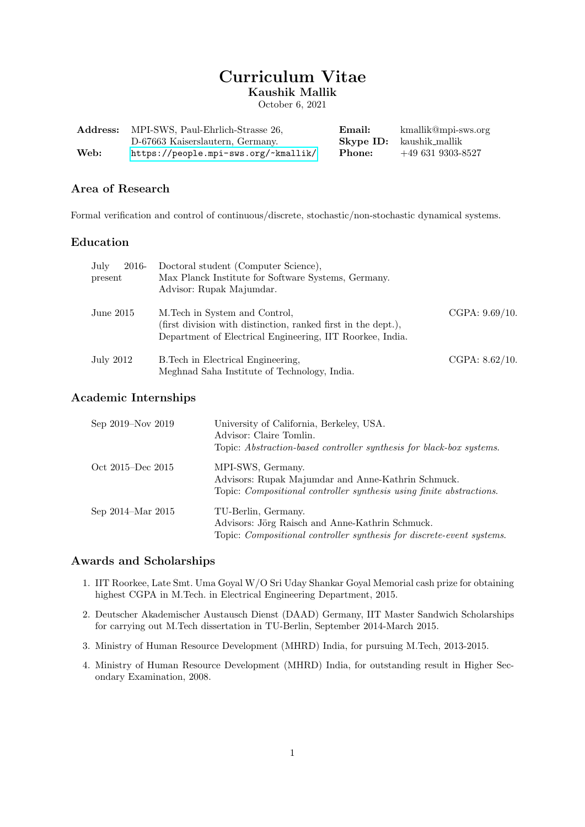# Curriculum Vitae Kaushik Mallik

October 6, 2021

|      | <b>Address:</b> MPI-SWS, Paul-Ehrlich-Strasse 26, | Email: | kmallik@mpi-sws.org             |
|------|---------------------------------------------------|--------|---------------------------------|
|      | D-67663 Kaiserslautern, Germany.                  |        | <b>Skype ID:</b> kaushik_mallik |
| Web: | https://people.mpi-sws.org/~kmallik/              | Phone: | $+496319303 - 8527$             |

# Area of Research

Formal verification and control of continuous/discrete, stochastic/non-stochastic dynamical systems.

### Education

| July<br>2016-<br>present | Doctoral student (Computer Science),<br>Max Planck Institute for Software Systems, Germany.<br>Advisor: Rupak Majumdar.                                      |                   |
|--------------------------|--------------------------------------------------------------------------------------------------------------------------------------------------------------|-------------------|
| June $2015$              | M. Tech in System and Control,<br>(first division with distinction, ranked first in the dept.),<br>Department of Electrical Engineering, IIT Roorkee, India. | CGPA: $9.69/10$ . |
| July 2012                | B. Tech in Electrical Engineering,<br>Meghnad Saha Institute of Technology, India.                                                                           | CGPA: $8.62/10$ . |

# Academic Internships

| Sep 2019–Nov 2019             | University of California, Berkeley, USA.<br>Advisor: Claire Tomlin.<br>Topic: Abstraction-based controller synthesis for black-box systems.            |
|-------------------------------|--------------------------------------------------------------------------------------------------------------------------------------------------------|
| Oct 2015–Dec 2015             | MPI-SWS, Germany.<br>Advisors: Rupak Majumdar and Anne-Kathrin Schmuck.<br>Topic: <i>Compositional controller synthesis using finite abstractions.</i> |
| Sep $2014 - \text{Mar } 2015$ | TU-Berlin, Germany.<br>Advisors: Jörg Raisch and Anne-Kathrin Schmuck.<br>Topic: <i>Compositional controller synthesis for discrete-event systems.</i> |

# Awards and Scholarships

- 1. IIT Roorkee, Late Smt. Uma Goyal W/O Sri Uday Shankar Goyal Memorial cash prize for obtaining highest CGPA in M.Tech. in Electrical Engineering Department, 2015.
- 2. Deutscher Akademischer Austausch Dienst (DAAD) Germany, IIT Master Sandwich Scholarships for carrying out M.Tech dissertation in TU-Berlin, September 2014-March 2015.
- 3. Ministry of Human Resource Development (MHRD) India, for pursuing M.Tech, 2013-2015.
- 4. Ministry of Human Resource Development (MHRD) India, for outstanding result in Higher Secondary Examination, 2008.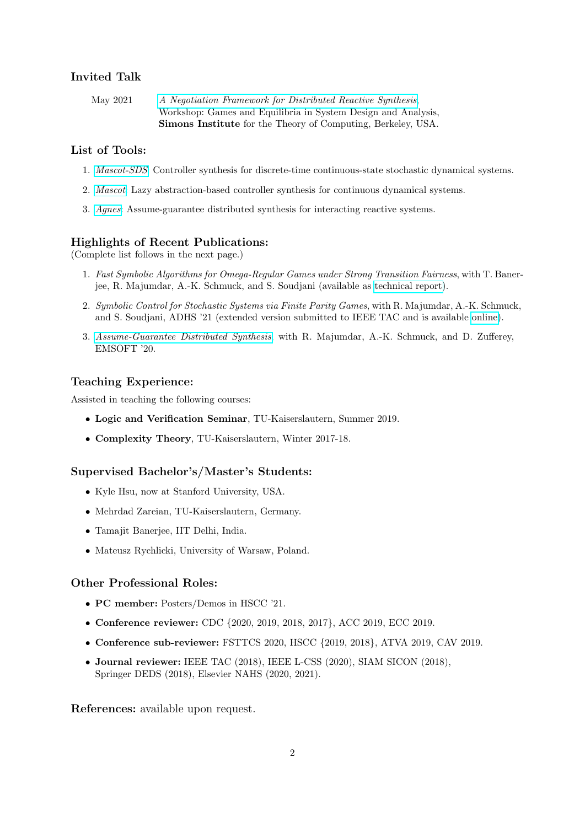# Invited Talk

May 2021 [A Negotiation Framework for Distributed Reactive Synthesis](https://simons.berkeley.edu/talks/tbd-276), Workshop: Games and Equilibria in System Design and Analysis, Simons Institute for the Theory of Computing, Berkeley, USA.

### List of Tools:

- 1. [Mascot-SDS](https://mascot.mpi-sws.org/index-sds.html): Controller synthesis for discrete-time continuous-state stochastic dynamical systems.
- 2. [Mascot](https://mascot.mpi-sws.org/): Lazy abstraction-based controller synthesis for continuous dynamical systems.
- 3. [Agnes](https://github.com/kmallik/Agnes): Assume-guarantee distributed synthesis for interacting reactive systems.

#### Highlights of Recent Publications:

(Complete list follows in the next page.)

- 1. Fast Symbolic Algorithms for Omega-Regular Games under Strong Transition Fairness, with T. Banerjee, R. Majumdar, A.-K. Schmuck, and S. Soudjani (available as [technical report\)](https://www.mpi-sws.org/tr/2020-007.pdf).
- 2. Symbolic Control for Stochastic Systems via Finite Parity Games, with R. Majumdar, A.-K. Schmuck, and S. Soudjani, ADHS '21 (extended version submitted to IEEE TAC and is available [online\)](https://people.mpi-sws.org/~kmallik/uploads/StochasticControlParity.pdf).
- 3. [Assume-Guarantee Distributed Synthesis](https://ieeexplore.ieee.org/abstract/document/9211548), with R. Majumdar, A.-K. Schmuck, and D. Zufferey, EMSOFT '20.

### Teaching Experience:

Assisted in teaching the following courses:

- Logic and Verification Seminar, TU-Kaiserslautern, Summer 2019.
- Complexity Theory, TU-Kaiserslautern, Winter 2017-18.

#### Supervised Bachelor's/Master's Students:

- Kyle Hsu, now at Stanford University, USA.
- Mehrdad Zareian, TU-Kaiserslautern, Germany.
- Tamajit Banerjee, IIT Delhi, India.
- Mateusz Rychlicki, University of Warsaw, Poland.

#### Other Professional Roles:

- **PC member:** Posters/Demos in HSCC '21.
- Conference reviewer: CDC {2020, 2019, 2018, 2017}, ACC 2019, ECC 2019.
- Conference sub-reviewer: FSTTCS 2020, HSCC {2019, 2018}, ATVA 2019, CAV 2019.
- Journal reviewer: IEEE TAC (2018), IEEE L-CSS (2020), SIAM SICON (2018), Springer DEDS (2018), Elsevier NAHS (2020, 2021).

References: available upon request.